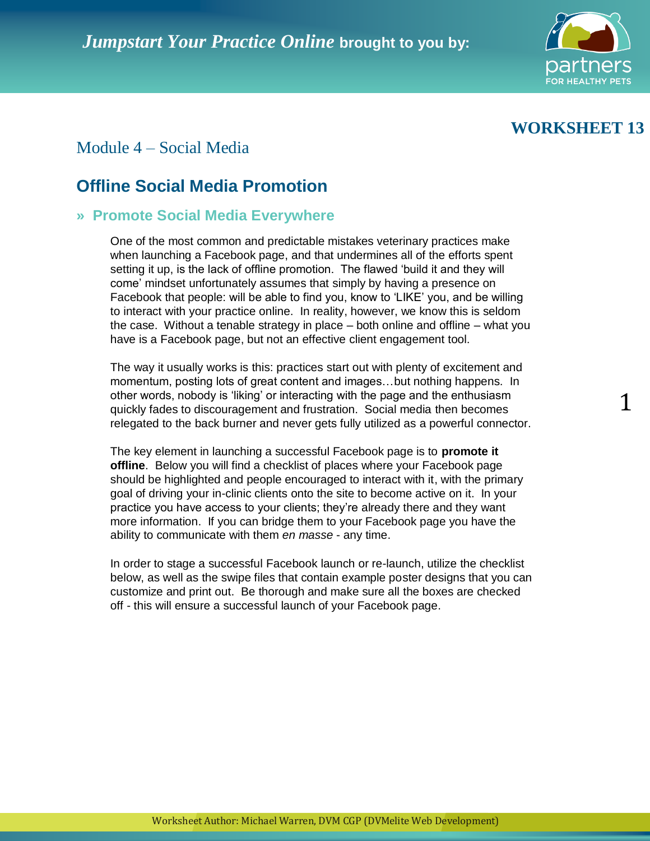

# **WORKSHEET 13**

1

## Module 4 – Social Media

## **Offline Social Media Promotion**

#### **» Promote Social Media Everywhere**

One of the most common and predictable mistakes veterinary practices make when launching a Facebook page, and that undermines all of the efforts spent setting it up, is the lack of offline promotion. The flawed 'build it and they will come' mindset unfortunately assumes that simply by having a presence on Facebook that people: will be able to find you, know to 'LIKE' you, and be willing to interact with your practice online. In reality, however, we know this is seldom the case. Without a tenable strategy in place – both online and offline – what you have is a Facebook page, but not an effective client engagement tool.

The way it usually works is this: practices start out with plenty of excitement and momentum, posting lots of great content and images…but nothing happens. In other words, nobody is 'liking' or interacting with the page and the enthusiasm quickly fades to discouragement and frustration. Social media then becomes relegated to the back burner and never gets fully utilized as a powerful connector.

The key element in launching a successful Facebook page is to **promote it offline**. Below you will find a checklist of places where your Facebook page should be highlighted and people encouraged to interact with it, with the primary goal of driving your in-clinic clients onto the site to become active on it. In your practice you have access to your clients; they're already there and they want more information. If you can bridge them to your Facebook page you have the ability to communicate with them *en masse* - any time.

In order to stage a successful Facebook launch or re-launch, utilize the checklist below, as well as the swipe files that contain example poster designs that you can customize and print out. Be thorough and make sure all the boxes are checked off - this will ensure a successful launch of your Facebook page.